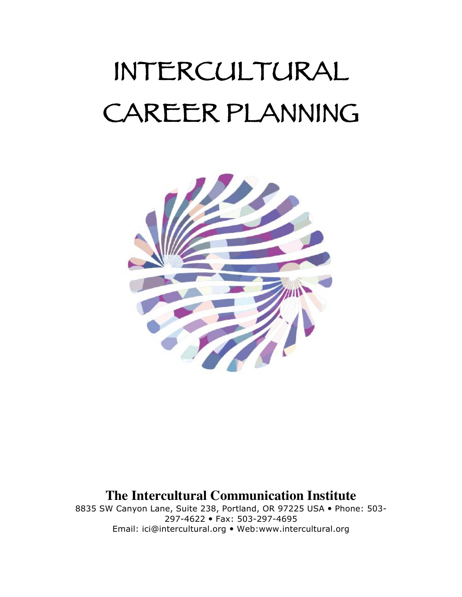# INTERCULTURAL CAREER PLANNING



# **The Intercultural Communication Institute**

8835 SW Canyon Lane, Suite 238, Portland, OR 97225 USA . Phone: 503-297-4622 Fax: 503-297-4695 Email: ici@intercultural.org Web:www.intercultural.org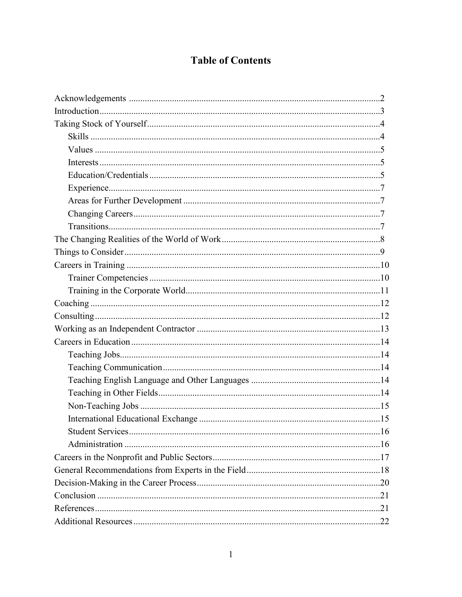# **Table of Contents**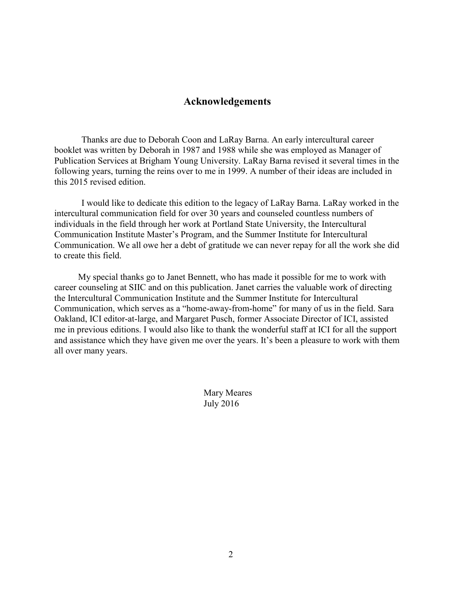## **Acknowledgements**

Thanks are due to Deborah Coon and LaRay Barna. An early intercultural career booklet was written by Deborah in 1987 and 1988 while she was employed as Manager of Publication Services at Brigham Young University. LaRay Barna revised it several times in the following years, turning the reins over to me in 1999. A number of their ideas are included in this 2015 revised edition.

I would like to dedicate this edition to the legacy of LaRay Barna. LaRay worked in the intercultural communication field for over 30 years and counseled countless numbers of individuals in the field through her work at Portland State University, the Intercultural Communication Institute Master's Program, and the Summer Institute for Intercultural Communication. We all owe her a debt of gratitude we can never repay for all the work she did to create this field.

My special thanks go to Janet Bennett, who has made it possible for me to work with career counseling at SIIC and on this publication. Janet carries the valuable work of directing the Intercultural Communication Institute and the Summer Institute for Intercultural Communication, which serves as a "home-away-from-home" for many of us in the field. Sara Oakland, ICI editor-at-large, and Margaret Pusch, former Associate Director of ICI, assisted me in previous editions. I would also like to thank the wonderful staff at ICI for all the support and assistance which they have given me over the years. It's been a pleasure to work with them all over many years.

> Mary Meares July 2016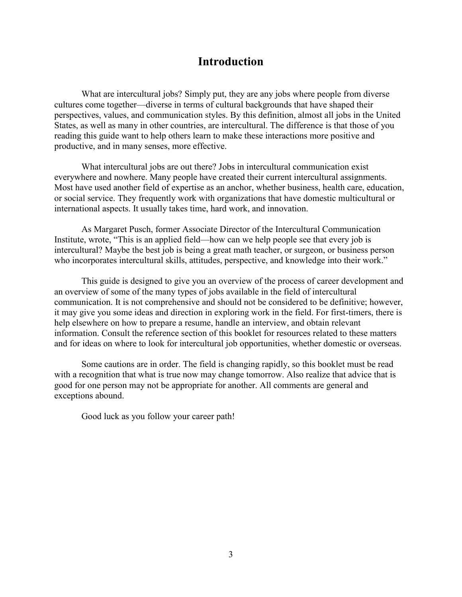## **Introduction**

What are intercultural jobs? Simply put, they are any jobs where people from diverse cultures come together—diverse in terms of cultural backgrounds that have shaped their perspectives, values, and communication styles. By this definition, almost all jobs in the United States, as well as many in other countries, are intercultural. The difference is that those of you reading this guide want to help others learn to make these interactions more positive and productive, and in many senses, more effective.

What intercultural jobs are out there? Jobs in intercultural communication exist everywhere and nowhere. Many people have created their current intercultural assignments. Most have used another field of expertise as an anchor, whether business, health care, education, or social service. They frequently work with organizations that have domestic multicultural or international aspects. It usually takes time, hard work, and innovation.

As Margaret Pusch, former Associate Director of the Intercultural Communication Institute, wrote, "This is an applied field—how can we help people see that every job is intercultural? Maybe the best job is being a great math teacher, or surgeon, or business person who incorporates intercultural skills, attitudes, perspective, and knowledge into their work."

This guide is designed to give you an overview of the process of career development and an overview of some of the many types of jobs available in the field of intercultural communication. It is not comprehensive and should not be considered to be definitive; however, it may give you some ideas and direction in exploring work in the field. For first-timers, there is help elsewhere on how to prepare a resume, handle an interview, and obtain relevant information. Consult the reference section of this booklet for resources related to these matters and for ideas on where to look for intercultural job opportunities, whether domestic or overseas.

Some cautions are in order. The field is changing rapidly, so this booklet must be read with a recognition that what is true now may change tomorrow. Also realize that advice that is good for one person may not be appropriate for another. All comments are general and exceptions abound.

Good luck as you follow your career path!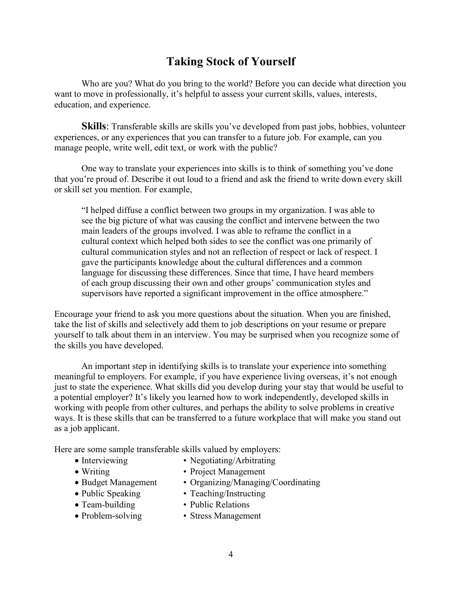# **Taking Stock of Yourself**

Who are you? What do you bring to the world? Before you can decide what direction you want to move in professionally, it's helpful to assess your current skills, values, interests, education, and experience.

**Skills**: Transferable skills are skills you've developed from past jobs, hobbies, volunteer experiences, or any experiences that you can transfer to a future job. For example, can you manage people, write well, edit text, or work with the public?

One way to translate your experiences into skills is to think of something you've done that you're proud of. Describe it out loud to a friend and ask the friend to write down every skill or skill set you mention. For example,

"I helped diffuse a conflict between two groups in my organization. I was able to see the big picture of what was causing the conflict and intervene between the two main leaders of the groups involved. I was able to reframe the conflict in a cultural context which helped both sides to see the conflict was one primarily of cultural communication styles and not an reflection of respect or lack of respect. I gave the participants knowledge about the cultural differences and a common language for discussing these differences. Since that time, I have heard members of each group discussing their own and other groups' communication styles and supervisors have reported a significant improvement in the office atmosphere."

Encourage your friend to ask you more questions about the situation. When you are finished, take the list of skills and selectively add them to job descriptions on your resume or prepare yourself to talk about them in an interview. You may be surprised when you recognize some of the skills you have developed.

An important step in identifying skills is to translate your experience into something meaningful to employers. For example, if you have experience living overseas, it's not enough just to state the experience. What skills did you develop during your stay that would be useful to a potential employer? It's likely you learned how to work independently, developed skills in working with people from other cultures, and perhaps the ability to solve problems in creative ways. It is these skills that can be transferred to a future workplace that will make you stand out as a job applicant.

Here are some sample transferable skills valued by employers:

- 
- Interviewing Negotiating/Arbitrating
- 
- Writing Project Management
- Budget Management Organizing/Managing/Coordinating
- Public Speaking Teaching/Instructing
- 
- Team-building Public Relations
- Problem-solving Stress Management
	-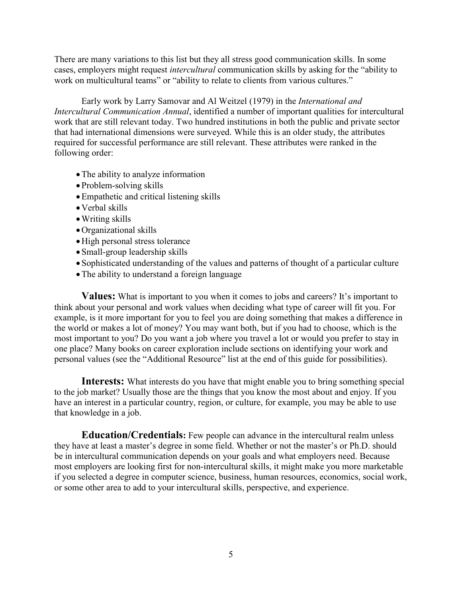There are many variations to this list but they all stress good communication skills. In some cases, employers might request *intercultural* communication skills by asking for the "ability to work on multicultural teams" or "ability to relate to clients from various cultures."

Early work by Larry Samovar and Al Weitzel (1979) in the *International and Intercultural Communication Annual*, identified a number of important qualities for intercultural work that are still relevant today. Two hundred institutions in both the public and private sector that had international dimensions were surveyed. While this is an older study, the attributes required for successful performance are still relevant. These attributes were ranked in the following order:

- The ability to analyze information
- Problem-solving skills
- Empathetic and critical listening skills
- Verbal skills
- Writing skills
- Organizational skills
- High personal stress tolerance
- Small-group leadership skills
- Sophisticated understanding of the values and patterns of thought of a particular culture
- The ability to understand a foreign language

**Values:** What is important to you when it comes to jobs and careers? It's important to think about your personal and work values when deciding what type of career will fit you. For example, is it more important for you to feel you are doing something that makes a difference in the world or makes a lot of money? You may want both, but if you had to choose, which is the most important to you? Do you want a job where you travel a lot or would you prefer to stay in one place? Many books on career exploration include sections on identifying your work and personal values (see the "Additional Resource" list at the end of this guide for possibilities).

**Interests:** What interests do you have that might enable you to bring something special to the job market? Usually those are the things that you know the most about and enjoy. If you have an interest in a particular country, region, or culture, for example, you may be able to use that knowledge in a job.

**Education/Credentials:** Few people can advance in the intercultural realm unless they have at least a master's degree in some field. Whether or not the master's or Ph.D. should be in intercultural communication depends on your goals and what employers need. Because most employers are looking first for non-intercultural skills, it might make you more marketable if you selected a degree in computer science, business, human resources, economics, social work, or some other area to add to your intercultural skills, perspective, and experience.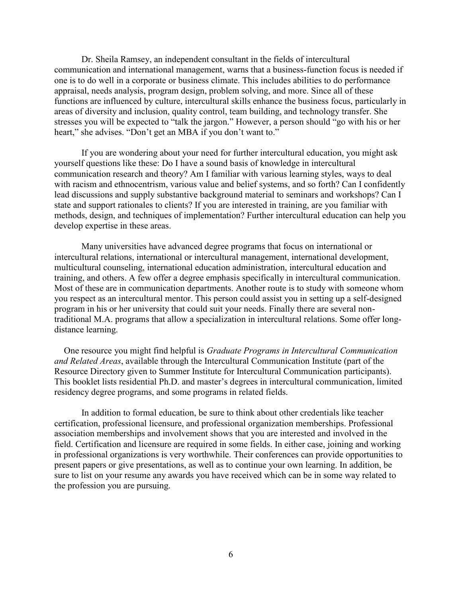Dr. Sheila Ramsey, an independent consultant in the fields of intercultural communication and international management, warns that a business-function focus is needed if one is to do well in a corporate or business climate. This includes abilities to do performance appraisal, needs analysis, program design, problem solving, and more. Since all of these functions are influenced by culture, intercultural skills enhance the business focus, particularly in areas of diversity and inclusion, quality control, team building, and technology transfer. She stresses you will be expected to "talk the jargon." However, a person should "go with his or her heart," she advises. "Don't get an MBA if you don't want to."

If you are wondering about your need for further intercultural education, you might ask yourself questions like these: Do I have a sound basis of knowledge in intercultural communication research and theory? Am I familiar with various learning styles, ways to deal with racism and ethnocentrism, various value and belief systems, and so forth? Can I confidently lead discussions and supply substantive background material to seminars and workshops? Can I state and support rationales to clients? If you are interested in training, are you familiar with methods, design, and techniques of implementation? Further intercultural education can help you develop expertise in these areas.

Many universities have advanced degree programs that focus on international or intercultural relations, international or intercultural management, international development, multicultural counseling, international education administration, intercultural education and training, and others. A few offer a degree emphasis specifically in intercultural communication. Most of these are in communication departments. Another route is to study with someone whom you respect as an intercultural mentor. This person could assist you in setting up a self-designed program in his or her university that could suit your needs. Finally there are several nontraditional M.A. programs that allow a specialization in intercultural relations. Some offer longdistance learning.

One resource you might find helpful is *Graduate Programs in Intercultural Communication and Related Areas*, available through the Intercultural Communication Institute (part of the Resource Directory given to Summer Institute for Intercultural Communication participants). This booklet lists residential Ph.D. and master's degrees in intercultural communication, limited residency degree programs, and some programs in related fields.

In addition to formal education, be sure to think about other credentials like teacher certification, professional licensure, and professional organization memberships. Professional association memberships and involvement shows that you are interested and involved in the field. Certification and licensure are required in some fields. In either case, joining and working in professional organizations is very worthwhile. Their conferences can provide opportunities to present papers or give presentations, as well as to continue your own learning. In addition, be sure to list on your resume any awards you have received which can be in some way related to the profession you are pursuing.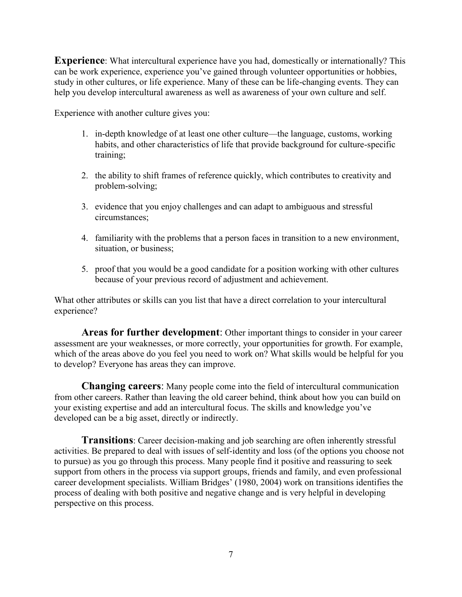**Experience**: What intercultural experience have you had, domestically or internationally? This can be work experience, experience you've gained through volunteer opportunities or hobbies, study in other cultures, or life experience. Many of these can be life-changing events. They can help you develop intercultural awareness as well as awareness of your own culture and self.

Experience with another culture gives you:

- 1. in-depth knowledge of at least one other culture—the language, customs, working habits, and other characteristics of life that provide background for culture-specific training;
- 2. the ability to shift frames of reference quickly, which contributes to creativity and problem-solving;
- 3. evidence that you enjoy challenges and can adapt to ambiguous and stressful circumstances;
- 4. familiarity with the problems that a person faces in transition to a new environment, situation, or business;
- 5. proof that you would be a good candidate for a position working with other cultures because of your previous record of adjustment and achievement.

What other attributes or skills can you list that have a direct correlation to your intercultural experience?

**Areas for further development**: Other important things to consider in your career assessment are your weaknesses, or more correctly, your opportunities for growth. For example, which of the areas above do you feel you need to work on? What skills would be helpful for you to develop? Everyone has areas they can improve.

**Changing careers**: Many people come into the field of intercultural communication from other careers. Rather than leaving the old career behind, think about how you can build on your existing expertise and add an intercultural focus. The skills and knowledge you've developed can be a big asset, directly or indirectly.

**Transitions**: Career decision-making and job searching are often inherently stressful activities. Be prepared to deal with issues of self-identity and loss (of the options you choose not to pursue) as you go through this process. Many people find it positive and reassuring to seek support from others in the process via support groups, friends and family, and even professional career development specialists. William Bridges' (1980, 2004) work on transitions identifies the process of dealing with both positive and negative change and is very helpful in developing perspective on this process.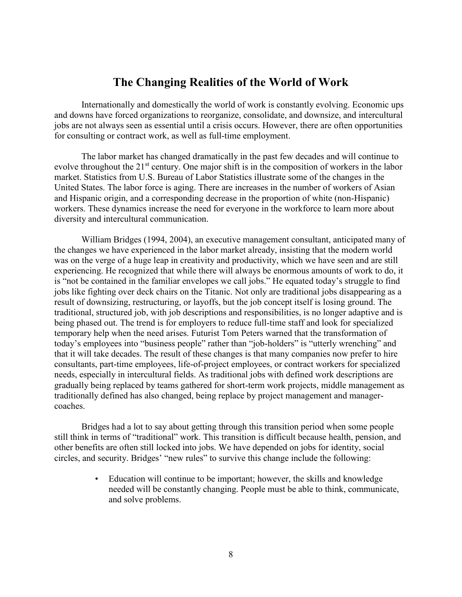## **The Changing Realities of the World of Work**

Internationally and domestically the world of work is constantly evolving. Economic ups and downs have forced organizations to reorganize, consolidate, and downsize, and intercultural jobs are not always seen as essential until a crisis occurs. However, there are often opportunities for consulting or contract work, as well as full-time employment.

The labor market has changed dramatically in the past few decades and will continue to evolve throughout the 21<sup>st</sup> century. One major shift is in the composition of workers in the labor market. Statistics from U.S. Bureau of Labor Statistics illustrate some of the changes in the United States. The labor force is aging. There are increases in the number of workers of Asian and Hispanic origin, and a corresponding decrease in the proportion of white (non-Hispanic) workers. These dynamics increase the need for everyone in the workforce to learn more about diversity and intercultural communication.

William Bridges (1994, 2004), an executive management consultant, anticipated many of the changes we have experienced in the labor market already, insisting that the modern world was on the verge of a huge leap in creativity and productivity, which we have seen and are still experiencing. He recognized that while there will always be enormous amounts of work to do, it is "not be contained in the familiar envelopes we call jobs." He equated today's struggle to find jobs like fighting over deck chairs on the Titanic. Not only are traditional jobs disappearing as a result of downsizing, restructuring, or layoffs, but the job concept itself is losing ground. The traditional, structured job, with job descriptions and responsibilities, is no longer adaptive and is being phased out. The trend is for employers to reduce full-time staff and look for specialized temporary help when the need arises. Futurist Tom Peters warned that the transformation of today's employees into "business people" rather than "job-holders" is "utterly wrenching" and that it will take decades. The result of these changes is that many companies now prefer to hire consultants, part-time employees, life-of-project employees, or contract workers for specialized needs, especially in intercultural fields. As traditional jobs with defined work descriptions are gradually being replaced by teams gathered for short-term work projects, middle management as traditionally defined has also changed, being replace by project management and managercoaches.

Bridges had a lot to say about getting through this transition period when some people still think in terms of "traditional" work. This transition is difficult because health, pension, and other benefits are often still locked into jobs. We have depended on jobs for identity, social circles, and security. Bridges' "new rules" to survive this change include the following:

> • Education will continue to be important; however, the skills and knowledge needed will be constantly changing. People must be able to think, communicate, and solve problems.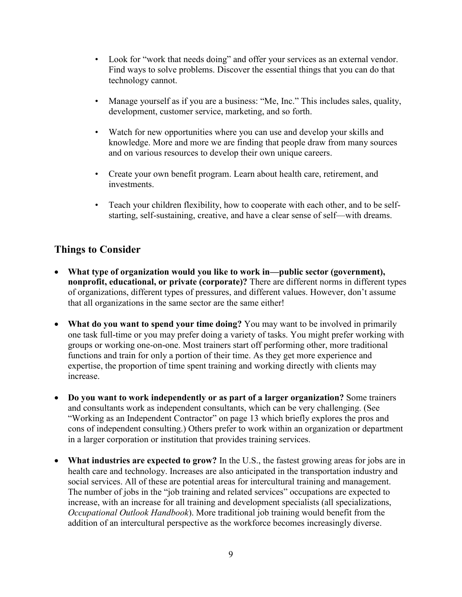- Look for "work that needs doing" and offer your services as an external vendor. Find ways to solve problems. Discover the essential things that you can do that technology cannot.
- Manage yourself as if you are a business: "Me, Inc." This includes sales, quality, development, customer service, marketing, and so forth.
- Watch for new opportunities where you can use and develop your skills and knowledge. More and more we are finding that people draw from many sources and on various resources to develop their own unique careers.
- Create your own benefit program. Learn about health care, retirement, and investments.
- Teach your children flexibility, how to cooperate with each other, and to be selfstarting, self-sustaining, creative, and have a clear sense of self—with dreams.

## **Things to Consider**

- **What type of organization would you like to work in—public sector (government), nonprofit, educational, or private (corporate)?** There are different norms in different types of organizations, different types of pressures, and different values. However, don't assume that all organizations in the same sector are the same either!
- **What do you want to spend your time doing?** You may want to be involved in primarily one task full-time or you may prefer doing a variety of tasks. You might prefer working with groups or working one-on-one. Most trainers start off performing other, more traditional functions and train for only a portion of their time. As they get more experience and expertise, the proportion of time spent training and working directly with clients may increase.
- **Do you want to work independently or as part of a larger organization?** Some trainers and consultants work as independent consultants, which can be very challenging. (See "Working as an Independent Contractor" on page 13 which briefly explores the pros and cons of independent consulting.) Others prefer to work within an organization or department in a larger corporation or institution that provides training services.
- **What industries are expected to grow?** In the U.S., the fastest growing areas for jobs are in health care and technology. Increases are also anticipated in the transportation industry and social services. All of these are potential areas for intercultural training and management. The number of jobs in the "job training and related services" occupations are expected to increase, with an increase for all training and development specialists (all specializations, *Occupational Outlook Handbook*). More traditional job training would benefit from the addition of an intercultural perspective as the workforce becomes increasingly diverse.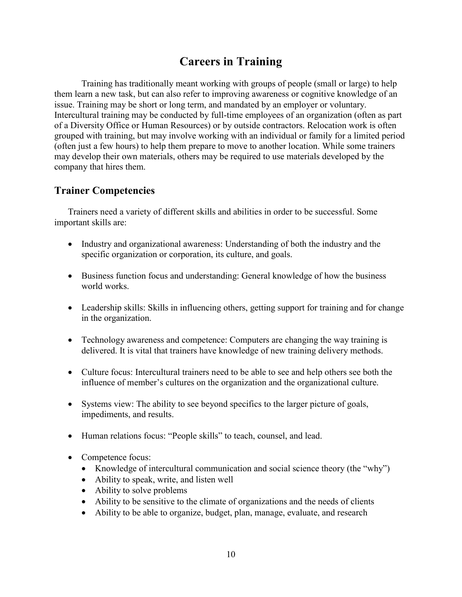# **Careers in Training**

Training has traditionally meant working with groups of people (small or large) to help them learn a new task, but can also refer to improving awareness or cognitive knowledge of an issue. Training may be short or long term, and mandated by an employer or voluntary. Intercultural training may be conducted by full-time employees of an organization (often as part of a Diversity Office or Human Resources) or by outside contractors. Relocation work is often grouped with training, but may involve working with an individual or family for a limited period (often just a few hours) to help them prepare to move to another location. While some trainers may develop their own materials, others may be required to use materials developed by the company that hires them.

### **Trainer Competencies**

Trainers need a variety of different skills and abilities in order to be successful. Some important skills are:

- Industry and organizational awareness: Understanding of both the industry and the specific organization or corporation, its culture, and goals.
- Business function focus and understanding: General knowledge of how the business world works.
- Leadership skills: Skills in influencing others, getting support for training and for change in the organization.
- Technology awareness and competence: Computers are changing the way training is delivered. It is vital that trainers have knowledge of new training delivery methods.
- Culture focus: Intercultural trainers need to be able to see and help others see both the influence of member's cultures on the organization and the organizational culture.
- Systems view: The ability to see beyond specifics to the larger picture of goals, impediments, and results.
- Human relations focus: "People skills" to teach, counsel, and lead.
- Competence focus:
	- Knowledge of intercultural communication and social science theory (the "why")
	- Ability to speak, write, and listen well
	- Ability to solve problems
	- Ability to be sensitive to the climate of organizations and the needs of clients
	- Ability to be able to organize, budget, plan, manage, evaluate, and research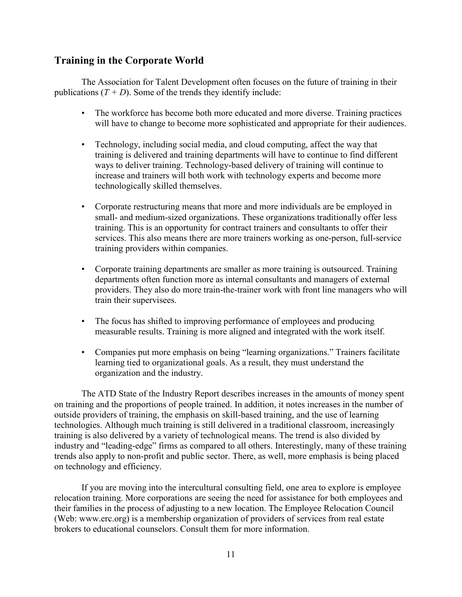## **Training in the Corporate World**

The Association for Talent Development often focuses on the future of training in their publications  $(T + D)$ . Some of the trends they identify include:

- The workforce has become both more educated and more diverse. Training practices will have to change to become more sophisticated and appropriate for their audiences.
- Technology, including social media, and cloud computing, affect the way that training is delivered and training departments will have to continue to find different ways to deliver training. Technology-based delivery of training will continue to increase and trainers will both work with technology experts and become more technologically skilled themselves.
- Corporate restructuring means that more and more individuals are be employed in small- and medium-sized organizations. These organizations traditionally offer less training. This is an opportunity for contract trainers and consultants to offer their services. This also means there are more trainers working as one-person, full-service training providers within companies.
- Corporate training departments are smaller as more training is outsourced. Training departments often function more as internal consultants and managers of external providers. They also do more train-the-trainer work with front line managers who will train their supervisees.
- The focus has shifted to improving performance of employees and producing measurable results. Training is more aligned and integrated with the work itself.
- Companies put more emphasis on being "learning organizations." Trainers facilitate learning tied to organizational goals. As a result, they must understand the organization and the industry.

The ATD State of the Industry Report describes increases in the amounts of money spent on training and the proportions of people trained. In addition, it notes increases in the number of outside providers of training, the emphasis on skill-based training, and the use of learning technologies. Although much training is still delivered in a traditional classroom, increasingly training is also delivered by a variety of technological means. The trend is also divided by industry and "leading-edge" firms as compared to all others. Interestingly, many of these training trends also apply to non-profit and public sector. There, as well, more emphasis is being placed on technology and efficiency.

If you are moving into the intercultural consulting field, one area to explore is employee relocation training. More corporations are seeing the need for assistance for both employees and their families in the process of adjusting to a new location. The Employee Relocation Council (Web: www.erc.org) is a membership organization of providers of services from real estate brokers to educational counselors. Consult them for more information.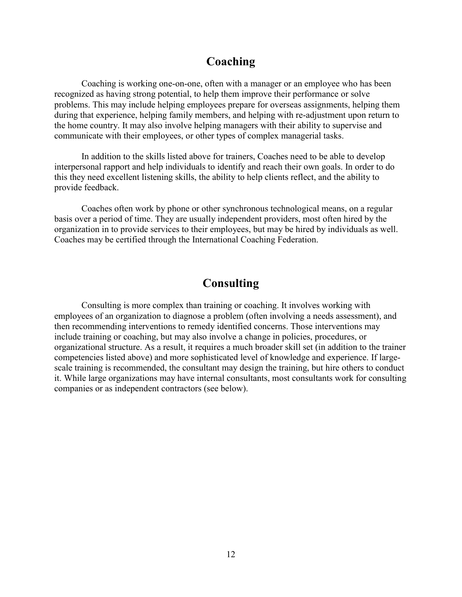# **Coaching**

Coaching is working one-on-one, often with a manager or an employee who has been recognized as having strong potential, to help them improve their performance or solve problems. This may include helping employees prepare for overseas assignments, helping them during that experience, helping family members, and helping with re-adjustment upon return to the home country. It may also involve helping managers with their ability to supervise and communicate with their employees, or other types of complex managerial tasks.

In addition to the skills listed above for trainers, Coaches need to be able to develop interpersonal rapport and help individuals to identify and reach their own goals. In order to do this they need excellent listening skills, the ability to help clients reflect, and the ability to provide feedback.

Coaches often work by phone or other synchronous technological means, on a regular basis over a period of time. They are usually independent providers, most often hired by the organization in to provide services to their employees, but may be hired by individuals as well. Coaches may be certified through the International Coaching Federation.

# **Consulting**

Consulting is more complex than training or coaching. It involves working with employees of an organization to diagnose a problem (often involving a needs assessment), and then recommending interventions to remedy identified concerns. Those interventions may include training or coaching, but may also involve a change in policies, procedures, or organizational structure. As a result, it requires a much broader skill set (in addition to the trainer competencies listed above) and more sophisticated level of knowledge and experience. If largescale training is recommended, the consultant may design the training, but hire others to conduct it. While large organizations may have internal consultants, most consultants work for consulting companies or as independent contractors (see below).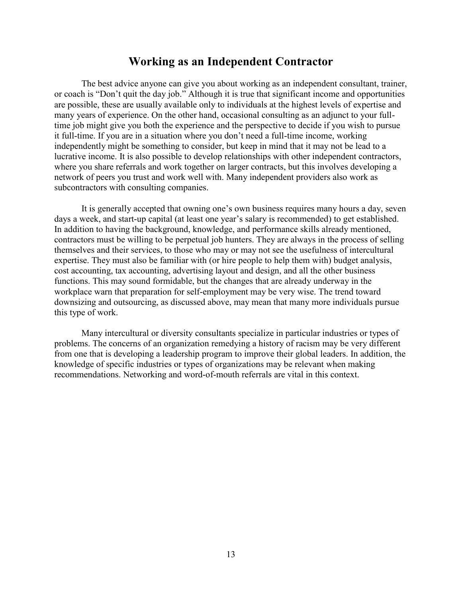# **Working as an Independent Contractor**

The best advice anyone can give you about working as an independent consultant, trainer, or coach is "Don't quit the day job." Although it is true that significant income and opportunities are possible, these are usually available only to individuals at the highest levels of expertise and many years of experience. On the other hand, occasional consulting as an adjunct to your fulltime job might give you both the experience and the perspective to decide if you wish to pursue it full-time. If you are in a situation where you don't need a full-time income, working independently might be something to consider, but keep in mind that it may not be lead to a lucrative income. It is also possible to develop relationships with other independent contractors, where you share referrals and work together on larger contracts, but this involves developing a network of peers you trust and work well with. Many independent providers also work as subcontractors with consulting companies.

It is generally accepted that owning one's own business requires many hours a day, seven days a week, and start-up capital (at least one year's salary is recommended) to get established. In addition to having the background, knowledge, and performance skills already mentioned, contractors must be willing to be perpetual job hunters. They are always in the process of selling themselves and their services, to those who may or may not see the usefulness of intercultural expertise. They must also be familiar with (or hire people to help them with) budget analysis, cost accounting, tax accounting, advertising layout and design, and all the other business functions. This may sound formidable, but the changes that are already underway in the workplace warn that preparation for self-employment may be very wise. The trend toward downsizing and outsourcing, as discussed above, may mean that many more individuals pursue this type of work.

Many intercultural or diversity consultants specialize in particular industries or types of problems. The concerns of an organization remedying a history of racism may be very different from one that is developing a leadership program to improve their global leaders. In addition, the knowledge of specific industries or types of organizations may be relevant when making recommendations. Networking and word-of-mouth referrals are vital in this context.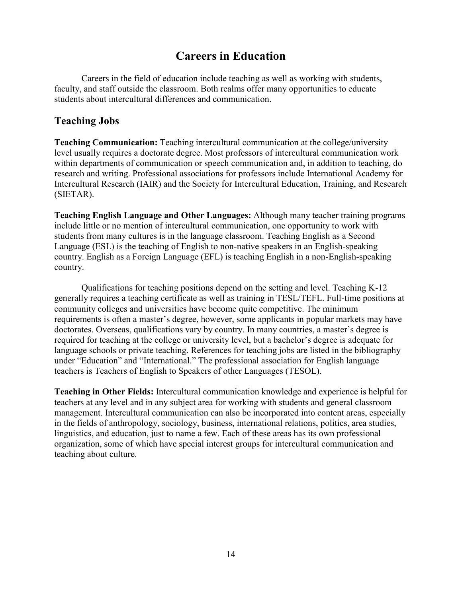# **Careers in Education**

Careers in the field of education include teaching as well as working with students, faculty, and staff outside the classroom. Both realms offer many opportunities to educate students about intercultural differences and communication.

### **Teaching Jobs**

**Teaching Communication:** Teaching intercultural communication at the college/university level usually requires a doctorate degree. Most professors of intercultural communication work within departments of communication or speech communication and, in addition to teaching, do research and writing. Professional associations for professors include International Academy for Intercultural Research (IAIR) and the Society for Intercultural Education, Training, and Research (SIETAR).

**Teaching English Language and Other Languages:** Although many teacher training programs include little or no mention of intercultural communication, one opportunity to work with students from many cultures is in the language classroom. Teaching English as a Second Language (ESL) is the teaching of English to non-native speakers in an English-speaking country. English as a Foreign Language (EFL) is teaching English in a non-English-speaking country.

Qualifications for teaching positions depend on the setting and level. Teaching K-12 generally requires a teaching certificate as well as training in TESL/TEFL. Full-time positions at community colleges and universities have become quite competitive. The minimum requirements is often a master's degree, however, some applicants in popular markets may have doctorates. Overseas, qualifications vary by country. In many countries, a master's degree is required for teaching at the college or university level, but a bachelor's degree is adequate for language schools or private teaching. References for teaching jobs are listed in the bibliography under "Education" and "International." The professional association for English language teachers is Teachers of English to Speakers of other Languages (TESOL).

**Teaching in Other Fields:** Intercultural communication knowledge and experience is helpful for teachers at any level and in any subject area for working with students and general classroom management. Intercultural communication can also be incorporated into content areas, especially in the fields of anthropology, sociology, business, international relations, politics, area studies, linguistics, and education, just to name a few. Each of these areas has its own professional organization, some of which have special interest groups for intercultural communication and teaching about culture.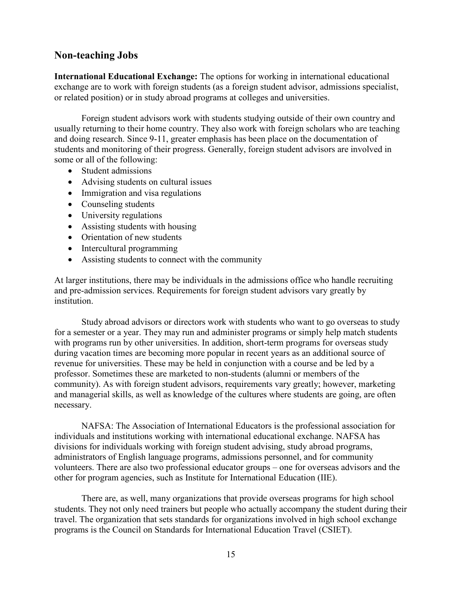## **Non-teaching Jobs**

**International Educational Exchange:** The options for working in international educational exchange are to work with foreign students (as a foreign student advisor, admissions specialist, or related position) or in study abroad programs at colleges and universities.

Foreign student advisors work with students studying outside of their own country and usually returning to their home country. They also work with foreign scholars who are teaching and doing research. Since 9-11, greater emphasis has been place on the documentation of students and monitoring of their progress. Generally, foreign student advisors are involved in some or all of the following:

- Student admissions
- Advising students on cultural issues
- Immigration and visa regulations
- Counseling students
- University regulations
- Assisting students with housing
- Orientation of new students
- Intercultural programming
- Assisting students to connect with the community

At larger institutions, there may be individuals in the admissions office who handle recruiting and pre-admission services. Requirements for foreign student advisors vary greatly by institution.

Study abroad advisors or directors work with students who want to go overseas to study for a semester or a year. They may run and administer programs or simply help match students with programs run by other universities. In addition, short-term programs for overseas study during vacation times are becoming more popular in recent years as an additional source of revenue for universities. These may be held in conjunction with a course and be led by a professor. Sometimes these are marketed to non-students (alumni or members of the community). As with foreign student advisors, requirements vary greatly; however, marketing and managerial skills, as well as knowledge of the cultures where students are going, are often necessary.

NAFSA: The Association of International Educators is the professional association for individuals and institutions working with international educational exchange. NAFSA has divisions for individuals working with foreign student advising, study abroad programs, administrators of English language programs, admissions personnel, and for community volunteers. There are also two professional educator groups – one for overseas advisors and the other for program agencies, such as Institute for International Education (IIE).

There are, as well, many organizations that provide overseas programs for high school students. They not only need trainers but people who actually accompany the student during their travel. The organization that sets standards for organizations involved in high school exchange programs is the Council on Standards for International Education Travel (CSIET).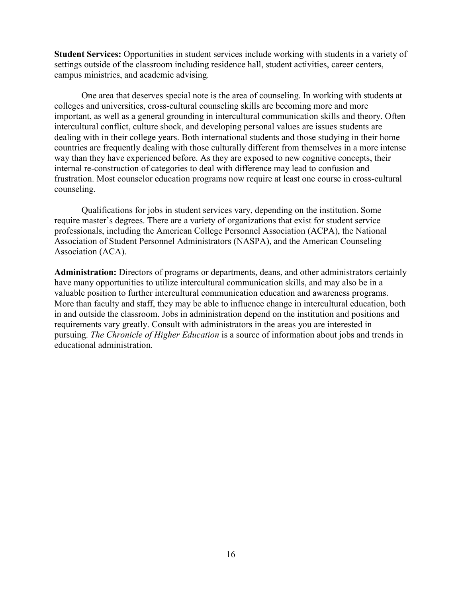**Student Services:** Opportunities in student services include working with students in a variety of settings outside of the classroom including residence hall, student activities, career centers, campus ministries, and academic advising.

One area that deserves special note is the area of counseling. In working with students at colleges and universities, cross-cultural counseling skills are becoming more and more important, as well as a general grounding in intercultural communication skills and theory. Often intercultural conflict, culture shock, and developing personal values are issues students are dealing with in their college years. Both international students and those studying in their home countries are frequently dealing with those culturally different from themselves in a more intense way than they have experienced before. As they are exposed to new cognitive concepts, their internal re-construction of categories to deal with difference may lead to confusion and frustration. Most counselor education programs now require at least one course in cross-cultural counseling.

Qualifications for jobs in student services vary, depending on the institution. Some require master's degrees. There are a variety of organizations that exist for student service professionals, including the American College Personnel Association (ACPA), the National Association of Student Personnel Administrators (NASPA), and the American Counseling Association (ACA).

**Administration:** Directors of programs or departments, deans, and other administrators certainly have many opportunities to utilize intercultural communication skills, and may also be in a valuable position to further intercultural communication education and awareness programs. More than faculty and staff, they may be able to influence change in intercultural education, both in and outside the classroom. Jobs in administration depend on the institution and positions and requirements vary greatly. Consult with administrators in the areas you are interested in pursuing. *The Chronicle of Higher Education* is a source of information about jobs and trends in educational administration.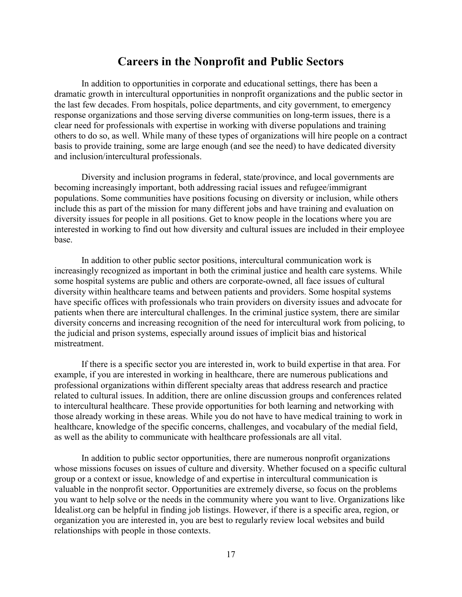## **Careers in the Nonprofit and Public Sectors**

In addition to opportunities in corporate and educational settings, there has been a dramatic growth in intercultural opportunities in nonprofit organizations and the public sector in the last few decades. From hospitals, police departments, and city government, to emergency response organizations and those serving diverse communities on long-term issues, there is a clear need for professionals with expertise in working with diverse populations and training others to do so, as well. While many of these types of organizations will hire people on a contract basis to provide training, some are large enough (and see the need) to have dedicated diversity and inclusion/intercultural professionals.

Diversity and inclusion programs in federal, state/province, and local governments are becoming increasingly important, both addressing racial issues and refugee/immigrant populations. Some communities have positions focusing on diversity or inclusion, while others include this as part of the mission for many different jobs and have training and evaluation on diversity issues for people in all positions. Get to know people in the locations where you are interested in working to find out how diversity and cultural issues are included in their employee base.

In addition to other public sector positions, intercultural communication work is increasingly recognized as important in both the criminal justice and health care systems. While some hospital systems are public and others are corporate-owned, all face issues of cultural diversity within healthcare teams and between patients and providers. Some hospital systems have specific offices with professionals who train providers on diversity issues and advocate for patients when there are intercultural challenges. In the criminal justice system, there are similar diversity concerns and increasing recognition of the need for intercultural work from policing, to the judicial and prison systems, especially around issues of implicit bias and historical mistreatment.

If there is a specific sector you are interested in, work to build expertise in that area. For example, if you are interested in working in healthcare, there are numerous publications and professional organizations within different specialty areas that address research and practice related to cultural issues. In addition, there are online discussion groups and conferences related to intercultural healthcare. These provide opportunities for both learning and networking with those already working in these areas. While you do not have to have medical training to work in healthcare, knowledge of the specific concerns, challenges, and vocabulary of the medial field, as well as the ability to communicate with healthcare professionals are all vital.

In addition to public sector opportunities, there are numerous nonprofit organizations whose missions focuses on issues of culture and diversity. Whether focused on a specific cultural group or a context or issue, knowledge of and expertise in intercultural communication is valuable in the nonprofit sector. Opportunities are extremely diverse, so focus on the problems you want to help solve or the needs in the community where you want to live. Organizations like Idealist.org can be helpful in finding job listings. However, if there is a specific area, region, or organization you are interested in, you are best to regularly review local websites and build relationships with people in those contexts.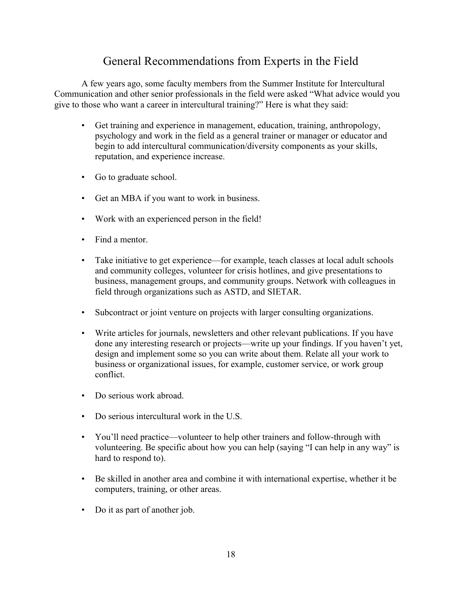# General Recommendations from Experts in the Field

A few years ago, some faculty members from the Summer Institute for Intercultural Communication and other senior professionals in the field were asked "What advice would you give to those who want a career in intercultural training?" Here is what they said:

- Get training and experience in management, education, training, anthropology, psychology and work in the field as a general trainer or manager or educator and begin to add intercultural communication/diversity components as your skills, reputation, and experience increase.
- Go to graduate school.
- Get an MBA if you want to work in business.
- Work with an experienced person in the field!
- Find a mentor.
- Take initiative to get experience—for example, teach classes at local adult schools and community colleges, volunteer for crisis hotlines, and give presentations to business, management groups, and community groups. Network with colleagues in field through organizations such as ASTD, and SIETAR.
- Subcontract or joint venture on projects with larger consulting organizations.
- Write articles for journals, newsletters and other relevant publications. If you have done any interesting research or projects—write up your findings. If you haven't yet, design and implement some so you can write about them. Relate all your work to business or organizational issues, for example, customer service, or work group conflict.
- Do serious work abroad.
- Do serious intercultural work in the U.S.
- You'll need practice—volunteer to help other trainers and follow-through with volunteering. Be specific about how you can help (saying "I can help in any way" is hard to respond to).
- Be skilled in another area and combine it with international expertise, whether it be computers, training, or other areas.
- Do it as part of another job.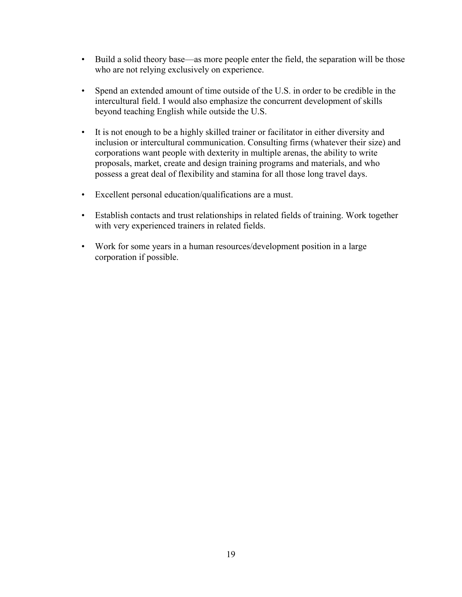- Build a solid theory base—as more people enter the field, the separation will be those who are not relying exclusively on experience.
- Spend an extended amount of time outside of the U.S. in order to be credible in the intercultural field. I would also emphasize the concurrent development of skills beyond teaching English while outside the U.S.
- It is not enough to be a highly skilled trainer or facilitator in either diversity and inclusion or intercultural communication. Consulting firms (whatever their size) and corporations want people with dexterity in multiple arenas, the ability to write proposals, market, create and design training programs and materials, and who possess a great deal of flexibility and stamina for all those long travel days.
- Excellent personal education/qualifications are a must.
- Establish contacts and trust relationships in related fields of training. Work together with very experienced trainers in related fields.
- Work for some years in a human resources/development position in a large corporation if possible.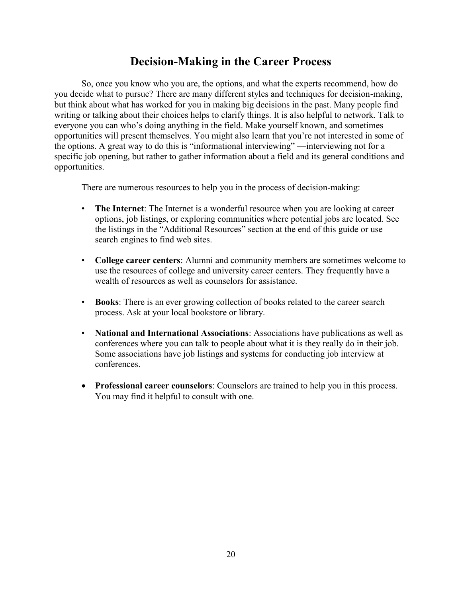# **Decision-Making in the Career Process**

So, once you know who you are, the options, and what the experts recommend, how do you decide what to pursue? There are many different styles and techniques for decision-making, but think about what has worked for you in making big decisions in the past. Many people find writing or talking about their choices helps to clarify things. It is also helpful to network. Talk to everyone you can who's doing anything in the field. Make yourself known, and sometimes opportunities will present themselves. You might also learn that you're not interested in some of the options. A great way to do this is "informational interviewing" —interviewing not for a specific job opening, but rather to gather information about a field and its general conditions and opportunities.

There are numerous resources to help you in the process of decision-making:

- **The Internet**: The Internet is a wonderful resource when you are looking at career options, job listings, or exploring communities where potential jobs are located. See the listings in the "Additional Resources" section at the end of this guide or use search engines to find web sites.
- **College career centers**: Alumni and community members are sometimes welcome to use the resources of college and university career centers. They frequently have a wealth of resources as well as counselors for assistance.
- **Books**: There is an ever growing collection of books related to the career search process. Ask at your local bookstore or library.
- **National and International Associations**: Associations have publications as well as conferences where you can talk to people about what it is they really do in their job. Some associations have job listings and systems for conducting job interview at conferences.
- **Professional career counselors**: Counselors are trained to help you in this process. You may find it helpful to consult with one.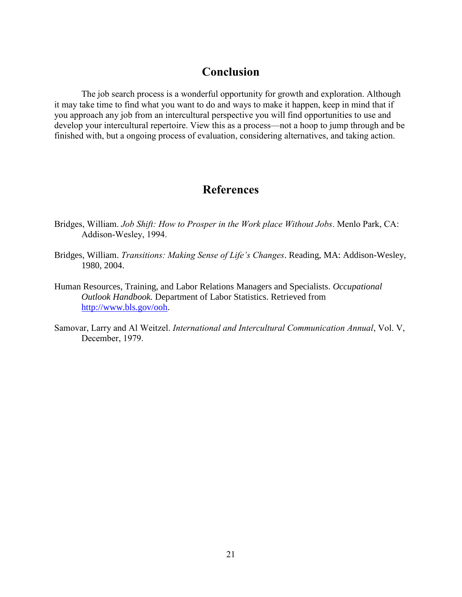# **Conclusion**

The job search process is a wonderful opportunity for growth and exploration. Although it may take time to find what you want to do and ways to make it happen, keep in mind that if you approach any job from an intercultural perspective you will find opportunities to use and develop your intercultural repertoire. View this as a process—not a hoop to jump through and be finished with, but a ongoing process of evaluation, considering alternatives, and taking action.

# **References**

- Bridges, William. *Job Shift: How to Prosper in the Work place Without Jobs*. Menlo Park, CA: Addison-Wesley, 1994.
- Bridges, William. *Transitions: Making Sense of Life's Changes*. Reading, MA: Addison-Wesley, 1980, 2004.
- Human Resources, Training, and Labor Relations Managers and Specialists. *Occupational Outlook Handbook.* Department of Labor Statistics. Retrieved from [http://www.bls.gov/ooh.](http://www.bls.gov/ooh)
- Samovar, Larry and Al Weitzel. *International and Intercultural Communication Annual*, Vol. V, December, 1979.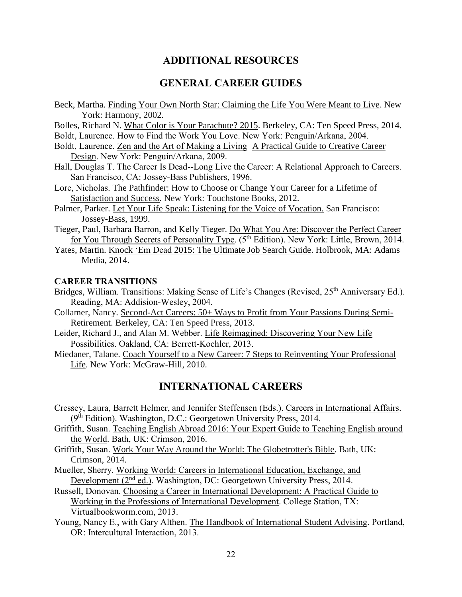### **ADDITIONAL RESOURCES**

#### **GENERAL CAREER GUIDES**

Beck, Martha. Finding Your Own North Star: Claiming the Life You Were Meant to Live. New York: Harmony, 2002.

Bolles, Richard N. What Color is Your Parachute? 2015. Berkeley, CA: Ten Speed Press, 2014.

Boldt, Laurence. How to Find the Work You Love. New York: Penguin/Arkana, 2004.

- Boldt, Laurence. Zen and the Art of Making a Living A Practical Guide to Creative Career Design. New York: Penguin/Arkana, 2009.
- Hall, Douglas T. The Career Is Dead--Long Live the Career: A Relational Approach to Careers. San Francisco, CA: Jossey-Bass Publishers, 1996.
- Lore, Nicholas. The Pathfinder: How to Choose or Change Your Career for a Lifetime of Satisfaction and Success. New York: Touchstone Books, 2012.
- Palmer, Parker. Let Your Life Speak: Listening for the Voice of Vocation. San Francisco: Jossey-Bass, 1999.
- Tieger, Paul, Barbara Barron, and Kelly Tieger. Do What You Are: Discover the Perfect Career for You Through Secrets of Personality Type. (5<sup>th</sup> Edition). New York: Little, Brown, 2014.
- Yates, Martin. Knock 'Em Dead 2015: The Ultimate Job Search Guide. Holbrook, MA: Adams Media, 2014.

#### **CAREER TRANSITIONS**

- Bridges, William. Transitions: Making Sense of Life's Changes (Revised, 25<sup>th</sup> Anniversary Ed.). Reading, MA: Addision-Wesley, 2004.
- Collamer, Nancy. Second-Act Careers: 50+ Ways to Profit from Your Passions During Semi-Retirement. Berkeley, CA: Ten Speed Press, 2013.
- Leider, Richard J., and Alan M. Webber. Life Reimagined: Discovering Your New Life Possibilities. Oakland, CA: Berrett-Koehler, 2013.
- Miedaner, Talane. Coach Yourself to a New Career: 7 Steps to Reinventing Your Professional Life. New York: McGraw-Hill, 2010.

### **INTERNATIONAL CAREERS**

- Cressey, Laura, Barrett Helmer, and Jennifer Steffensen (Eds.). Careers in International Affairs. (9<sup>th</sup> Edition). Washington, D.C.: Georgetown University Press, 2014.
- Griffith, Susan. Teaching English Abroad 2016: Your Expert Guide to Teaching English around the World. Bath, UK: Crimson, 2016.
- Griffith, Susan. Work Your Way Around the World: The Globetrotter's Bible. Bath, UK: Crimson, 2014.
- Mueller, Sherry. Working World: Careers in International Education, Exchange, and Development (2<sup>nd</sup> ed.). Washington, DC: Georgetown University Press, 2014.
- Russell, Donovan. Choosing a Career in International Development: A Practical Guide to Working in the Professions of International Development. College Station, TX: Virtualbookworm.com, 2013.
- Young, Nancy E., with Gary Althen. The Handbook of International Student Advising. Portland, OR: Intercultural Interaction, 2013.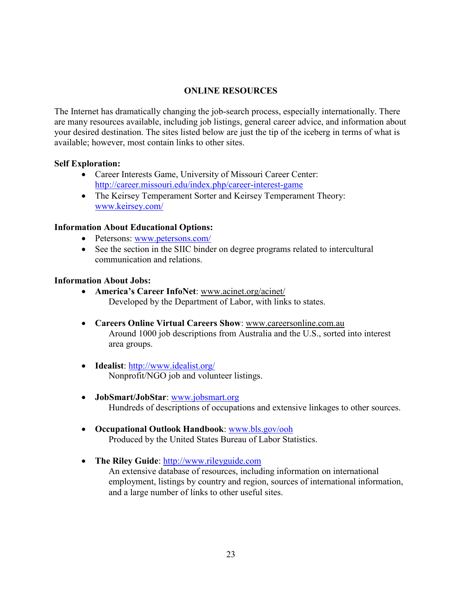#### **ONLINE RESOURCES**

The Internet has dramatically changing the job-search process, especially internationally. There are many resources available, including job listings, general career advice, and information about your desired destination. The sites listed below are just the tip of the iceberg in terms of what is available; however, most contain links to other sites.

#### **Self Exploration:**

- Career Interests Game, University of Missouri Career Center: <http://career.missouri.edu/index.php/career-interest-game>
- The Keirsey Temperament Sorter and Keirsey Temperament Theory: [www.keirsey.com/](http://www.keirsey.com/)

#### **Information About Educational Options:**

- Petersons: [www.petersons.com/](http://www.petersons.com/)
- See the section in the SIIC binder on degree programs related to intercultural communication and relations.

#### **Information About Jobs:**

- **America's Career InfoNet**: www.acinet.org/acinet/ Developed by the Department of Labor, with links to states.
- **Careers Online Virtual Careers Show**: www.careersonline.com.au Around 1000 job descriptions from Australia and the U.S., sorted into interest area groups.
- **Idealist**:<http://www.idealist.org/> Nonprofit/NGO job and volunteer listings.
- **JobSmart/JobStar**: [www.jobsmart.org](http://www.jobsmart.org/)  Hundreds of descriptions of occupations and extensive linkages to other sources.
- **Occupational Outlook Handbook**: [www.bls.gov/ooh](http://www.bls.gov/ooh) Produced by the United States Bureau of Labor Statistics.
- **The Riley Guide**: [http://www.rileyguide.com](http://www.rileyguide.com/)  An extensive database of resources, including information on international employment, listings by country and region, sources of international information, and a large number of links to other useful sites.